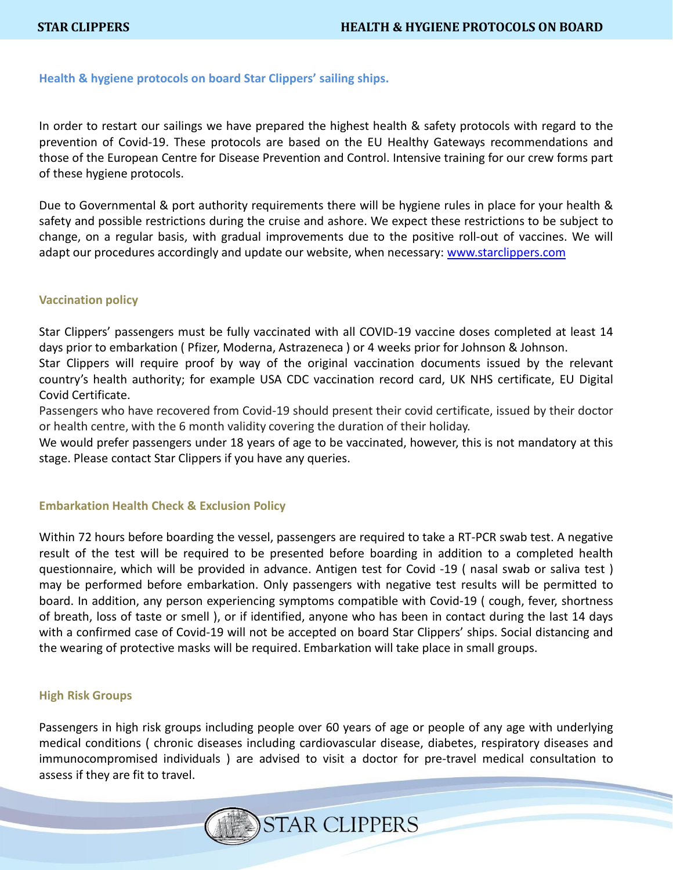# **Health & hygiene protocols on board Star Clippers' sailing ships.**

In order to restart our sailings we have prepared the highest health & safety protocols with regard to the prevention of Covid-19. These protocols are based on the EU Healthy Gateways recommendations and those of the European Centre for Disease Prevention and Control. Intensive training for our crew forms part of these hygiene protocols.

Due to Governmental & port authority requirements there will be hygiene rules in place for your health & safety and possible restrictions during the cruise and ashore. We expect these restrictions to be subject to change, on a regular basis, with gradual improvements due to the positive roll-out of vaccines. We will adapt our procedures accordingly and update our website, when necessary: [www.starclippers.com](http://www.starclippers.com/)

# **Vaccination policy**

Star Clippers' passengers must be fully vaccinated with all COVID-19 vaccine doses completed at least 14 days prior to embarkation ( Pfizer, Moderna, Astrazeneca ) or 4 weeks prior for Johnson & Johnson.

Star Clippers will require proof by way of the original vaccination documents issued by the relevant country's health authority; for example USA CDC vaccination record card, UK NHS certificate, EU Digital Covid Certificate.

Passengers who have recovered from Covid-19 should present their covid certificate, issued by their doctor or health centre, with the 6 month validity covering the duration of their holiday.

We would prefer passengers under 18 years of age to be vaccinated, however, this is not mandatory at this stage. Please contact Star Clippers if you have any queries.

### **Embarkation Health Check & Exclusion Policy**

Within 72 hours before boarding the vessel, passengers are required to take a RT-PCR swab test. A negative result of the test will be required to be presented before boarding in addition to a completed health questionnaire, which will be provided in advance. Antigen test for Covid -19 ( nasal swab or saliva test ) may be performed before embarkation. Only passengers with negative test results will be permitted to board. In addition, any person experiencing symptoms compatible with Covid-19 ( cough, fever, shortness of breath, loss of taste or smell ), or if identified, anyone who has been in contact during the last 14 days with a confirmed case of Covid-19 will not be accepted on board Star Clippers' ships. Social distancing and the wearing of protective masks will be required. Embarkation will take place in small groups.

#### **High Risk Groups**

Passengers in high risk groups including people over 60 years of age or people of any age with underlying medical conditions ( chronic diseases including cardiovascular disease, diabetes, respiratory diseases and immunocompromised individuals ) are advised to visit a doctor for pre-travel medical consultation to assess if they are fit to travel.

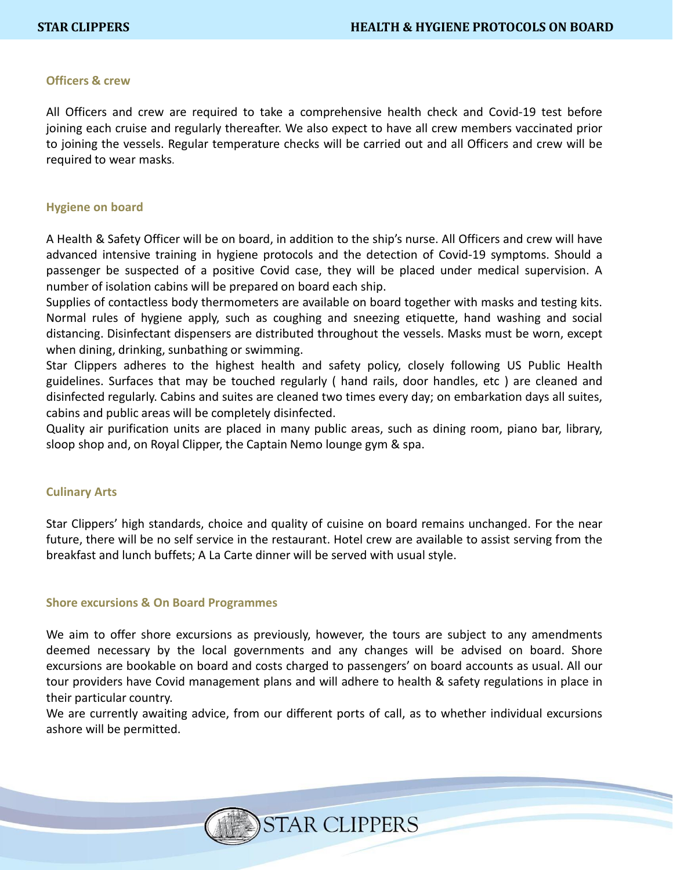### **Officers & crew**

All Officers and crew are required to take a comprehensive health check and Covid-19 test before joining each cruise and regularly thereafter. We also expect to have all crew members vaccinated prior to joining the vessels. Regular temperature checks will be carried out and all Officers and crew will be required to wear masks.

#### **Hygiene on board**

A Health & Safety Officer will be on board, in addition to the ship's nurse. All Officers and crew will have advanced intensive training in hygiene protocols and the detection of Covid-19 symptoms. Should a passenger be suspected of a positive Covid case, they will be placed under medical supervision. A number of isolation cabins will be prepared on board each ship.

Supplies of contactless body thermometers are available on board together with masks and testing kits. Normal rules of hygiene apply, such as coughing and sneezing etiquette, hand washing and social distancing. Disinfectant dispensers are distributed throughout the vessels. Masks must be worn, except when dining, drinking, sunbathing or swimming.

Star Clippers adheres to the highest health and safety policy, closely following US Public Health guidelines. Surfaces that may be touched regularly ( hand rails, door handles, etc ) are cleaned and disinfected regularly. Cabins and suites are cleaned two times every day; on embarkation days all suites, cabins and public areas will be completely disinfected.

Quality air purification units are placed in many public areas, such as dining room, piano bar, library, sloop shop and, on Royal Clipper, the Captain Nemo lounge gym & spa.

### **Culinary Arts**

Star Clippers' high standards, choice and quality of cuisine on board remains unchanged. For the near future, there will be no self service in the restaurant. Hotel crew are available to assist serving from the breakfast and lunch buffets; A La Carte dinner will be served with usual style.

### **Shore excursions & On Board Programmes**

We aim to offer shore excursions as previously, however, the tours are subject to any amendments deemed necessary by the local governments and any changes will be advised on board. Shore excursions are bookable on board and costs charged to passengers' on board accounts as usual. All our tour providers have Covid management plans and will adhere to health & safety regulations in place in their particular country.

We are currently awaiting advice, from our different ports of call, as to whether individual excursions ashore will be permitted.